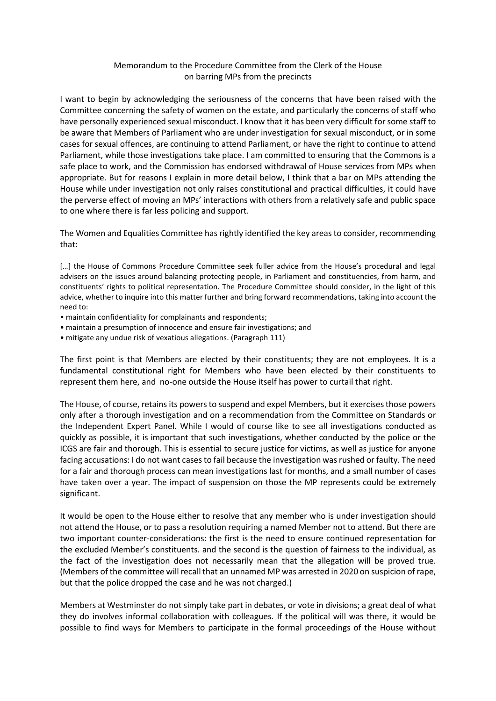## Memorandum to the Procedure Committee from the Clerk of the House on barring MPs from the precincts

I want to begin by acknowledging the seriousness of the concerns that have been raised with the Committee concerning the safety of women on the estate, and particularly the concerns of staff who have personally experienced sexual misconduct. I know that it has been very difficult for some staff to be aware that Members of Parliament who are under investigation for sexual misconduct, or in some cases for sexual offences, are continuing to attend Parliament, or have the right to continue to attend Parliament, while those investigations take place. I am committed to ensuring that the Commons is a safe place to work, and the Commission has endorsed withdrawal of House services from MPs when appropriate. But for reasons I explain in more detail below, I think that a bar on MPs attending the House while under investigation not only raises constitutional and practical difficulties, it could have the perverse effect of moving an MPs' interactions with others from a relatively safe and public space to one where there is far less policing and support.

The Women and Equalities Committee has rightly identified the key areas to consider, recommending that:

[...] the House of Commons Procedure Committee seek fuller advice from the House's procedural and legal advisers on the issues around balancing protecting people, in Parliament and constituencies, from harm, and constituents' rights to political representation. The Procedure Committee should consider, in the light of this advice, whether to inquire into this matter further and bring forward recommendations, taking into account the need to:

- maintain confidentiality for complainants and respondents;
- maintain a presumption of innocence and ensure fair investigations; and
- mitigate any undue risk of vexatious allegations. (Paragraph 111)

The first point is that Members are elected by their constituents; they are not employees. It is a fundamental constitutional right for Members who have been elected by their constituents to represent them here, and no-one outside the House itself has power to curtail that right.

The House, of course, retains its powers to suspend and expel Members, but it exercises those powers only after a thorough investigation and on a recommendation from the Committee on Standards or the Independent Expert Panel. While I would of course like to see all investigations conducted as quickly as possible, it is important that such investigations, whether conducted by the police or the ICGS are fair and thorough. This is essential to secure justice for victims, as well as justice for anyone facing accusations: I do not want cases to fail because the investigation was rushed or faulty. The need for a fair and thorough process can mean investigations last for months, and a small number of cases have taken over a year. The impact of suspension on those the MP represents could be extremely significant.

It would be open to the House either to resolve that any member who is under investigation should not attend the House, or to pass a resolution requiring a named Member not to attend. But there are two important counter-considerations: the first is the need to ensure continued representation for the excluded Member's constituents. and the second is the question of fairness to the individual, as the fact of the investigation does not necessarily mean that the allegation will be proved true. (Members of the committee will recall that an unnamed MP was arrested in 2020 on suspicion of rape, but that the police dropped the case and he was not charged.)

Members at Westminster do not simply take part in debates, or vote in divisions; a great deal of what they do involves informal collaboration with colleagues. If the political will was there, it would be possible to find ways for Members to participate in the formal proceedings of the House without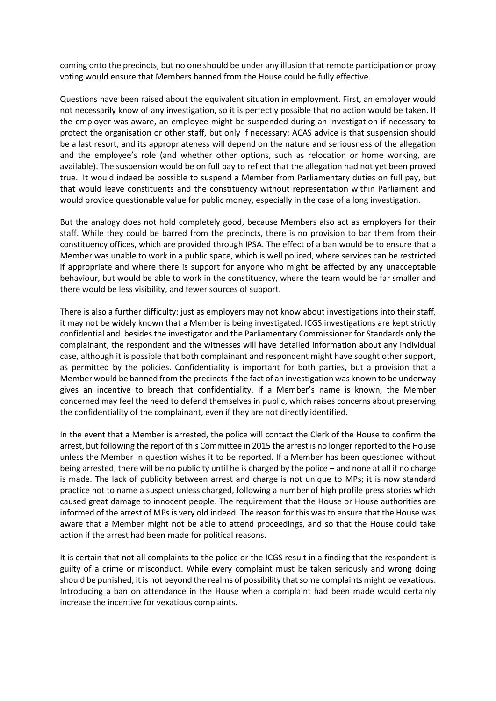coming onto the precincts, but no one should be under any illusion that remote participation or proxy voting would ensure that Members banned from the House could be fully effective.

Questions have been raised about the equivalent situation in employment. First, an employer would not necessarily know of any investigation, so it is perfectly possible that no action would be taken. If the employer was aware, an employee might be suspended during an investigation if necessary to protect the organisation or other staff, but only if necessary: ACAS advice is that suspension should be a last resort, and its appropriateness will depend on the nature and seriousness of the allegation and the employee's role (and whether other options, such as relocation or home working, are available). The suspension would be on full pay to reflect that the allegation had not yet been proved true. It would indeed be possible to suspend a Member from Parliamentary duties on full pay, but that would leave constituents and the constituency without representation within Parliament and would provide questionable value for public money, especially in the case of a long investigation.

But the analogy does not hold completely good, because Members also act as employers for their staff. While they could be barred from the precincts, there is no provision to bar them from their constituency offices, which are provided through IPSA. The effect of a ban would be to ensure that a Member was unable to work in a public space, which is well policed, where services can be restricted if appropriate and where there is support for anyone who might be affected by any unacceptable behaviour, but would be able to work in the constituency, where the team would be far smaller and there would be less visibility, and fewer sources of support.

There is also a further difficulty: just as employers may not know about investigations into their staff, it may not be widely known that a Member is being investigated. ICGS investigations are kept strictly confidential and besides the investigator and the Parliamentary Commissioner for Standards only the complainant, the respondent and the witnesses will have detailed information about any individual case, although it is possible that both complainant and respondent might have sought other support, as permitted by the policies. Confidentiality is important for both parties, but a provision that a Member would be banned from the precincts if the fact of an investigation was known to be underway gives an incentive to breach that confidentiality. If a Member's name is known, the Member concerned may feel the need to defend themselves in public, which raises concerns about preserving the confidentiality of the complainant, even if they are not directly identified.

In the event that a Member is arrested, the police will contact the Clerk of the House to confirm the arrest, but following the report of this Committee in 2015 the arrest is no longer reported to the House unless the Member in question wishes it to be reported. If a Member has been questioned without being arrested, there will be no publicity until he is charged by the police – and none at all if no charge is made. The lack of publicity between arrest and charge is not unique to MPs; it is now standard practice not to name a suspect unless charged, following a number of high profile press stories which caused great damage to innocent people. The requirement that the House or House authorities are informed of the arrest of MPs is very old indeed. The reason for this was to ensure that the House was aware that a Member might not be able to attend proceedings, and so that the House could take action if the arrest had been made for political reasons.

It is certain that not all complaints to the police or the ICGS result in a finding that the respondent is guilty of a crime or misconduct. While every complaint must be taken seriously and wrong doing should be punished, it is not beyond the realms of possibility that some complaints might be vexatious. Introducing a ban on attendance in the House when a complaint had been made would certainly increase the incentive for vexatious complaints.